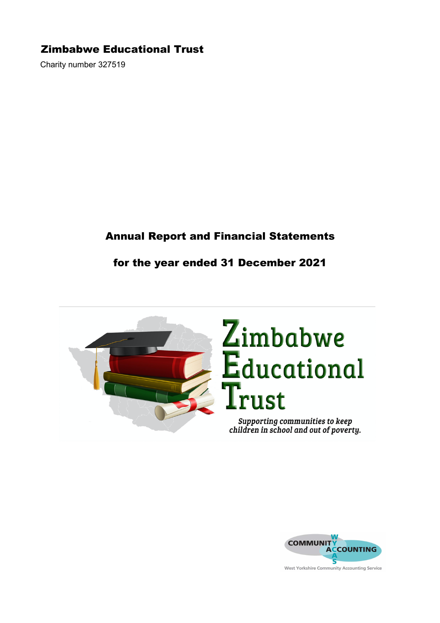Charity number 327519

# Annual Report and Financial Statements

## for the year ended 31 December 2021



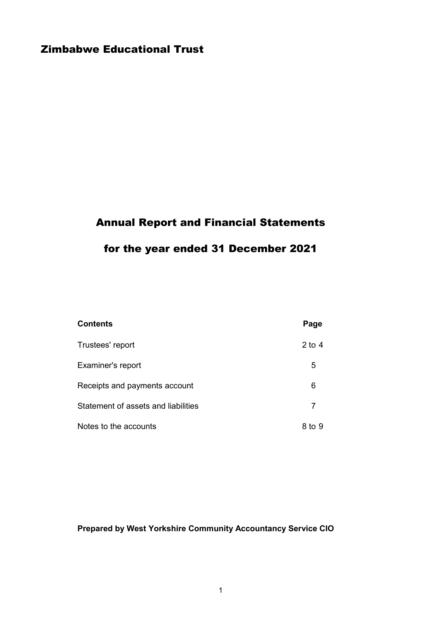# Annual Report and Financial Statements

# for the year ended 31 December 2021

| <b>Contents</b>                     | Page   |
|-------------------------------------|--------|
| Trustees' report                    | 2 to 4 |
| Examiner's report                   | 5      |
| Receipts and payments account       | 6      |
| Statement of assets and liabilities | 7      |
| Notes to the accounts               | 8 to 9 |

# Prepared by West Yorkshire Community Accountancy Service CIO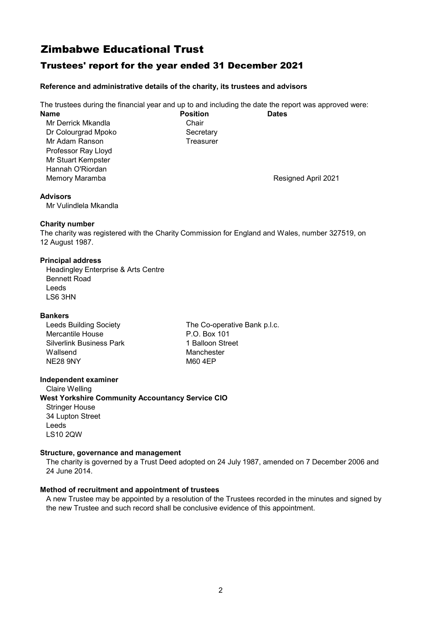### Trustees' report for the year ended 31 December 2021

### Reference and administrative details of the charity, its trustees and advisors

The trustees during the financial year and up to and including the date the report was approved were: Name **Name Position Dates** 

Mr Derrick Mkandla<br>
Dr Colourgrad Mpoko<br>
Chair Colourgrad Mpoko Dr Colourgrad Mpoko Mr Adam Ranson Treasurer Professor Ray Lloyd Mr Stuart Kempster Hannah O'Riordan Memory Maramba Resigned April 2021

#### Advisors

Mr Vulindlela Mkandla

### Charity number

The charity was registered with the Charity Commission for England and Wales, number 327519, on 12 August 1987.

### Principal address

Headingley Enterprise & Arts Centre Bennett Road Leeds LS6 3HN

### Bankers

| <b>Leeds Building Society</b>   |
|---------------------------------|
| Mercantile House                |
| <b>Silverlink Business Park</b> |
| Wallsend                        |
| <b>NE28 9NY</b>                 |

The Co-operative Bank p.l.c. P.O. Box 101 1 Balloon Street Manchester M60 4EP

### Independent examiner

Claire Welling West Yorkshire Community Accountancy Service CIO Stringer House 34 Lupton Street Leeds LS10 2QW

### Structure, governance and management

The charity is governed by a Trust Deed adopted on 24 July 1987, amended on 7 December 2006 and 24 June 2014.

### Method of recruitment and appointment of trustees

A new Trustee may be appointed by a resolution of the Trustees recorded in the minutes and signed by the new Trustee and such record shall be conclusive evidence of this appointment.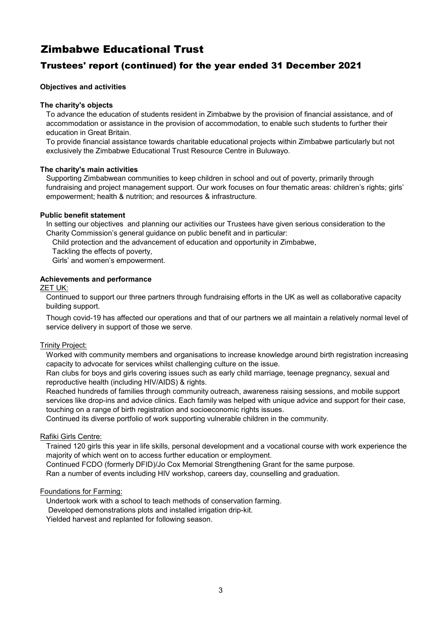### Trustees' report (continued) for the year ended 31 December 2021

### Objectives and activities

### The charity's objects

To advance the education of students resident in Zimbabwe by the provision of financial assistance, and of accommodation or assistance in the provision of accommodation, to enable such students to further their education in Great Britain.

To provide financial assistance towards charitable educational projects within Zimbabwe particularly but not exclusively the Zimbabwe Educational Trust Resource Centre in Buluwayo.

### The charity's main activities

Supporting Zimbabwean communities to keep children in school and out of poverty, primarily through fundraising and project management support. Our work focuses on four thematic areas: children's rights; girls' empowerment; health & nutrition; and resources & infrastructure.

### Public benefit statement

In setting our objectives and planning our activities our Trustees have given serious consideration to the Charity Commission's general guidance on public benefit and in particular:

Child protection and the advancement of education and opportunity in Zimbabwe,

Tackling the effects of poverty,

Girls' and women's empowerment.

### Achievements and performance

### ZET UK:

Continued to support our three partners through fundraising efforts in the UK as well as collaborative capacity building support.

Though covid-19 has affected our operations and that of our partners we all maintain a relatively normal level of service delivery in support of those we serve.

### Trinity Project:

Worked with community members and organisations to increase knowledge around birth registration increasing capacity to advocate for services whilst challenging culture on the issue.

Ran clubs for boys and girls covering issues such as early child marriage, teenage pregnancy, sexual and reproductive health (including HIV/AIDS) & rights.

Reached hundreds of families through community outreach, awareness raising sessions, and mobile support services like drop-ins and advice clinics. Each family was helped with unique advice and support for their case, touching on a range of birth registration and socioeconomic rights issues.

Continued its diverse portfolio of work supporting vulnerable children in the community.

### Rafiki Girls Centre:

Trained 120 girls this year in life skills, personal development and a vocational course with work experience the majority of which went on to access further education or employment.

Continued FCDO (formerly DFID)/Jo Cox Memorial Strengthening Grant for the same purpose.

Ran a number of events including HIV workshop, careers day, counselling and graduation.

### Foundations for Farming:

Undertook work with a school to teach methods of conservation farming. Developed demonstrations plots and installed irrigation drip-kit. Yielded harvest and replanted for following season.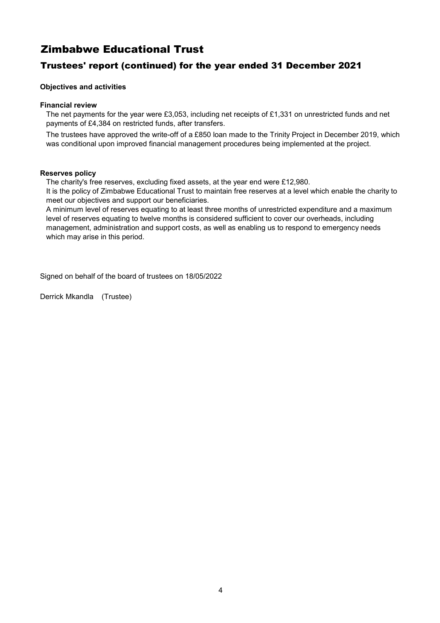### Trustees' report (continued) for the year ended 31 December 2021

### Objectives and activities

### Financial review

The net payments for the year were £3,053, including net receipts of £1,331 on unrestricted funds and net payments of £4,384 on restricted funds, after transfers.

The trustees have approved the write-off of a £850 loan made to the Trinity Project in December 2019, which was conditional upon improved financial management procedures being implemented at the project.

### Reserves policy

The charity's free reserves, excluding fixed assets, at the year end were £12,980.

It is the policy of Zimbabwe Educational Trust to maintain free reserves at a level which enable the charity to meet our objectives and support our beneficiaries.

A minimum level of reserves equating to at least three months of unrestricted expenditure and a maximum level of reserves equating to twelve months is considered sufficient to cover our overheads, including management, administration and support costs, as well as enabling us to respond to emergency needs which may arise in this period.

Signed on behalf of the board of trustees on 18/05/2022

Derrick Mkandla (Trustee)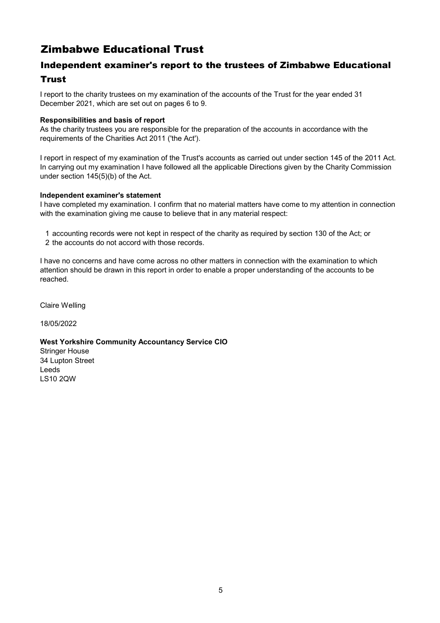# Independent examiner's report to the trustees of Zimbabwe Educational Trust

I report to the charity trustees on my examination of the accounts of the Trust for the year ended 31 December 2021, which are set out on pages 6 to 9.

### Responsibilities and basis of report

As the charity trustees you are responsible for the preparation of the accounts in accordance with the requirements of the Charities Act 2011 ('the Act').

I report in respect of my examination of the Trust's accounts as carried out under section 145 of the 2011 Act. In carrying out my examination I have followed all the applicable Directions given by the Charity Commission under section 145(5)(b) of the Act.

### Independent examiner's statement

I have completed my examination. I confirm that no material matters have come to my attention in connection with the examination giving me cause to believe that in any material respect:

- 1 accounting records were not kept in respect of the charity as required by section 130 of the Act; or
- 2 the accounts do not accord with those records.

I have no concerns and have come across no other matters in connection with the examination to which attention should be drawn in this report in order to enable a proper understanding of the accounts to be reached.

Claire Welling

18/05/2022

### West Yorkshire Community Accountancy Service CIO

Stringer House 34 Lupton Street Leeds LS10 2QW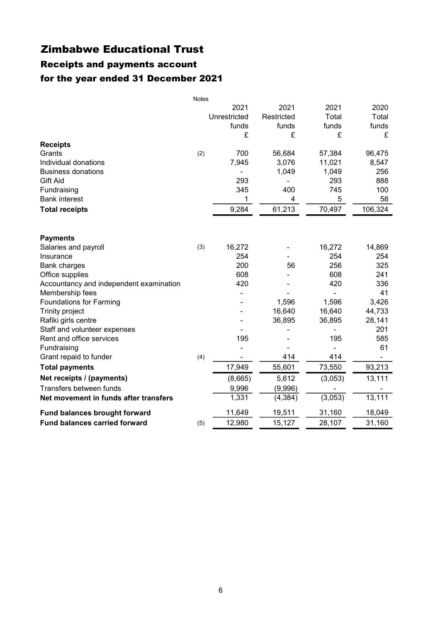# Receipts and payments account for the year ended 31 December 2021

|                                         | <b>Notes</b> |              |            |         |         |
|-----------------------------------------|--------------|--------------|------------|---------|---------|
|                                         |              | 2021         | 2021       | 2021    | 2020    |
|                                         |              | Unrestricted | Restricted | Total   | Total   |
|                                         |              | funds        | funds      | funds   | funds   |
|                                         |              | £            | £          | £       | £       |
| <b>Receipts</b>                         |              |              |            |         |         |
| Grants                                  | (2)          | 700          | 56,684     | 57,384  | 96,475  |
| Individual donations                    |              | 7,945        | 3,076      | 11,021  | 8,547   |
| <b>Business donations</b>               |              |              | 1,049      | 1,049   | 256     |
| Gift Aid                                |              | 293          |            | 293     | 888     |
| Fundraising                             |              | 345          | 400        | 745     | 100     |
| <b>Bank interest</b>                    |              | 1            | 4          | 5       | 58      |
| <b>Total receipts</b>                   |              | 9,284        | 61,213     | 70,497  | 106,324 |
|                                         |              |              |            |         |         |
| <b>Payments</b>                         |              |              |            |         |         |
| Salaries and payroll                    | (3)          | 16,272       |            | 16,272  | 14,869  |
| Insurance                               |              | 254          |            | 254     | 254     |
| <b>Bank charges</b>                     |              | 200          | 56         | 256     | 325     |
| Office supplies                         |              | 608          |            | 608     | 241     |
| Accountancy and independent examination |              | 420          |            | 420     | 336     |
| Membership fees                         |              |              |            |         | 41      |
| <b>Foundations for Farming</b>          |              |              | 1,596      | 1,596   | 3,426   |
| Trinity project                         |              |              | 16,640     | 16,640  | 44,733  |
| Rafiki girls centre                     |              |              | 36,895     | 36,895  | 28,141  |
| Staff and volunteer expenses            |              |              |            |         | 201     |
| Rent and office services                |              | 195          |            | 195     | 585     |
| Fundraising                             |              |              |            |         | 61      |
| Grant repaid to funder                  | (4)          |              | 414        | 414     |         |
| <b>Total payments</b>                   |              | 17,949       | 55,601     | 73,550  | 93,213  |
| Net receipts / (payments)               |              | (8,665)      | 5,612      | (3,053) | 13,111  |
| Transfers between funds                 |              | 9,996        | (9,996)    |         |         |
| Net movement in funds after transfers   |              | 1,331        | (4, 384)   | (3,053) | 13,111  |
| Fund balances brought forward           |              | 11,649       | 19,511     | 31,160  | 18,049  |
| <b>Fund balances carried forward</b>    | (5)          | 12,980       | 15,127     | 28,107  | 31,160  |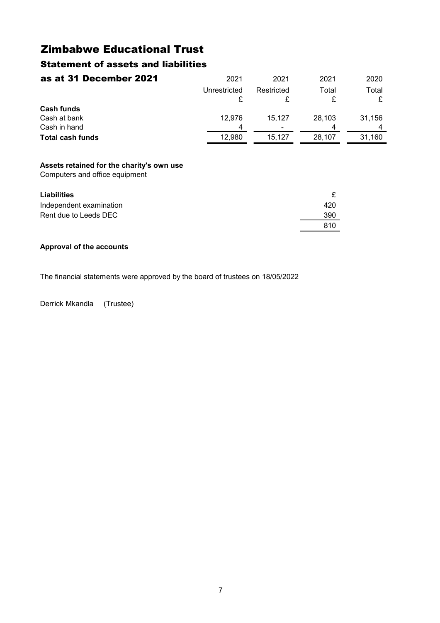## Statement of assets and liabilities

| as at 31 December 2021  | 2021         | 2021       | 2021   | 2020   |
|-------------------------|--------------|------------|--------|--------|
|                         | Unrestricted | Restricted | Total  | Total  |
| <b>Cash funds</b>       |              |            |        |        |
| Cash at bank            | 12.976       | 15.127     | 28.103 | 31.156 |
| Cash in hand            | Δ            | ۰          |        |        |
| <b>Total cash funds</b> | 12,980       | 15.127     | 28.107 | 31.160 |

### Assets retained for the charity's own use

Computers and office equipment

| <b>Liabilities</b>      |     |
|-------------------------|-----|
| Independent examination | 420 |
| Rent due to Leeds DEC   | 390 |
|                         | 810 |

### Approval of the accounts

The financial statements were approved by the board of trustees on 18/05/2022

Derrick Mkandla (Trustee)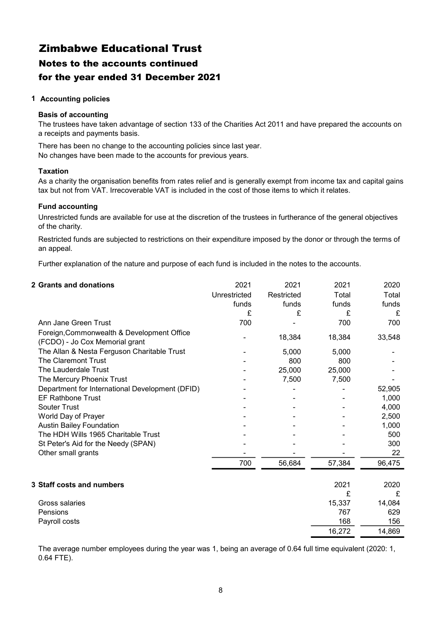# Zimbabwe Educational Trust Notes to the accounts continued for the year ended 31 December 2021

### 1 Accounting policies

### Basis of accounting

The trustees have taken advantage of section 133 of the Charities Act 2011 and have prepared the accounts on a receipts and payments basis.

There has been no change to the accounting policies since last year. No changes have been made to the accounts for previous years.

### Taxation

As a charity the organisation benefits from rates relief and is generally exempt from income tax and capital gains tax but not from VAT. Irrecoverable VAT is included in the cost of those items to which it relates.

### Fund accounting

Unrestricted funds are available for use at the discretion of the trustees in furtherance of the general objectives of the charity.

Restricted funds are subjected to restrictions on their expenditure imposed by the donor or through the terms of an appeal.

Further explanation of the nature and purpose of each fund is included in the notes to the accounts.

### 2 Grants and donations 2021 2021 2021 2020 Unrestricted Restricted Total Total funds funds funds funds £ £ £ £ Ann Jane Green Trust 700 - 700 700 - 18,384 18,384 33,548 The Allan & Nesta Ferguson Charitable Trust  $\overline{5.000}$  5.000  $\overline{5.000}$  5.000 The Claremont Trust and the Claremont Trust and the Claremont Trust and the Claremont Trust and the Claremont Trust The Lauderdale Trust 1990 125,000 25,000 25,000 25,000 25,000 25,000 25,000 25,000 25,000 25,000 25,000 25,000<br>The Mercury Phoenix Trust 1990 12:00 25,000 25,000 25,000 25,000 25,000 25,000 25,000 25,000 25,000 25,000 25, The Mercury Phoenix Trust 7,500 7,500 7,500 7,500 7,500 7,500 7,500 7,500 7,500 7,500 7,500 7,500 7,500 7,500 7 Department for International Development (DFID) - - - 52,905 EF Rathbone Trust 1.000 Souter Trust 4,000 World Day of Prayer and the state of the state of the state of the state of the state of the state of the state of the state of the state of the state of the state of the state of the state of the state of the state of the Austin Bailey Foundation **Austin Bailey Foundation 1,000** The HDH Wills 1965 Charitable Trust **-** - - - - - - - - - - - - - - 500 St Peter's Aid for the Needy (SPAN)  $\overline{\phantom{a}}$  -  $\overline{\phantom{a}}$  -  $\overline{\phantom{a}}$  300 Other small grants 22 700 56,684 57,384 96,475 3 Staff costs and numbers 2021 2020 £ £ Gross salaries 15,337 and 14,084 Pensions 629 Payroll costs and the set of the set of the set of the set of the set of the set of the set of the set of the set of the set of the set of the set of the set of the set of the set of the set of the set of the set of the se 16,272 14,869 Foreign,Commonwealth & Development Office (FCDO) - Jo Cox Memorial grant

The average number employees during the year was 1, being an average of 0.64 full time equivalent (2020: 1, 0.64 FTE).